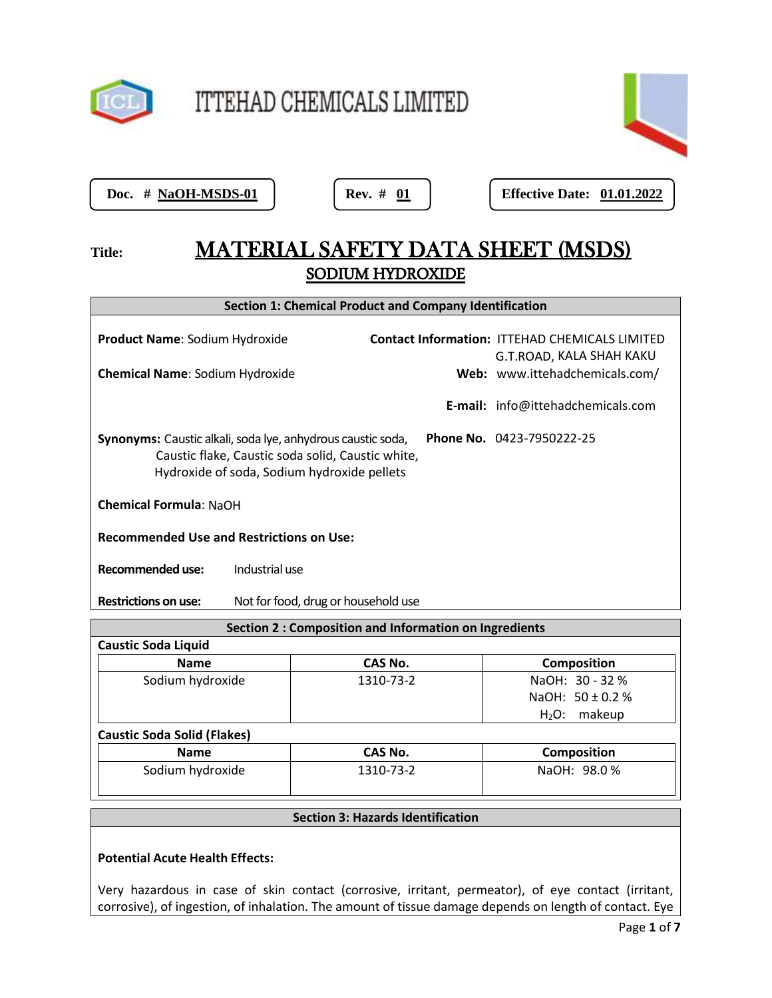

ITTEHAD CHEMICALS LIMITED



Doc. # NaOH-MSDS-01

**Positrical Rev. # 01 | Effective Date: 01.01.2022** 

# Title: **MATERIAL SAFETY DATA SHEET (MSDS)** SODIUM HYDROXIDE

| <b>Section 1: Chemical Product and Company Identification</b>                                                                                                                                              |                                     |  |                                                                                   |  |
|------------------------------------------------------------------------------------------------------------------------------------------------------------------------------------------------------------|-------------------------------------|--|-----------------------------------------------------------------------------------|--|
| <b>Product Name: Sodium Hydroxide</b>                                                                                                                                                                      |                                     |  | <b>Contact Information: ITTEHAD CHEMICALS LIMITED</b><br>G.T.ROAD, KALA SHAH KAKU |  |
| <b>Chemical Name: Sodium Hydroxide</b>                                                                                                                                                                     |                                     |  | Web: www.ittehadchemicals.com/                                                    |  |
|                                                                                                                                                                                                            |                                     |  | <b>E-mail:</b> info@ittehadchemicals.com                                          |  |
| <b>Phone No.</b> 0423-7950222-25<br><b>Synonyms:</b> Caustic alkali, soda lye, anhydrous caustic soda,<br>Caustic flake, Caustic soda solid, Caustic white,<br>Hydroxide of soda, Sodium hydroxide pellets |                                     |  |                                                                                   |  |
| <b>Chemical Formula: NaOH</b>                                                                                                                                                                              |                                     |  |                                                                                   |  |
| <b>Recommended Use and Restrictions on Use:</b>                                                                                                                                                            |                                     |  |                                                                                   |  |
| Recommended use:                                                                                                                                                                                           | Industrial use                      |  |                                                                                   |  |
| <b>Restrictions on use:</b>                                                                                                                                                                                | Not for food, drug or household use |  |                                                                                   |  |

| <b>Section 2: Composition and Information on Ingredients</b> |           |                      |  |  |
|--------------------------------------------------------------|-----------|----------------------|--|--|
| <b>Caustic Soda Liquid</b>                                   |           |                      |  |  |
| Name                                                         | CAS No.   | <b>Composition</b>   |  |  |
| Sodium hydroxide                                             | 1310-73-2 | NaOH: 30 - 32 %      |  |  |
|                                                              |           | NaOH: $50 \pm 0.2$ % |  |  |
|                                                              |           | $H_2O$ : makeup      |  |  |
| <b>Caustic Soda Solid (Flakes)</b>                           |           |                      |  |  |
| <b>Name</b>                                                  | CAS No.   | <b>Composition</b>   |  |  |
| Sodium hydroxide                                             | 1310-73-2 | NaOH: 98.0 %         |  |  |
|                                                              |           |                      |  |  |

# **Section 3: Hazards Identification**

# **Potential Acute Health Effects:**

Very hazardous in case of skin contact (corrosive, irritant, permeator), of eye contact (irritant, corrosive), of ingestion, of inhalation. The amount of tissue damage depends on length of contact. Eye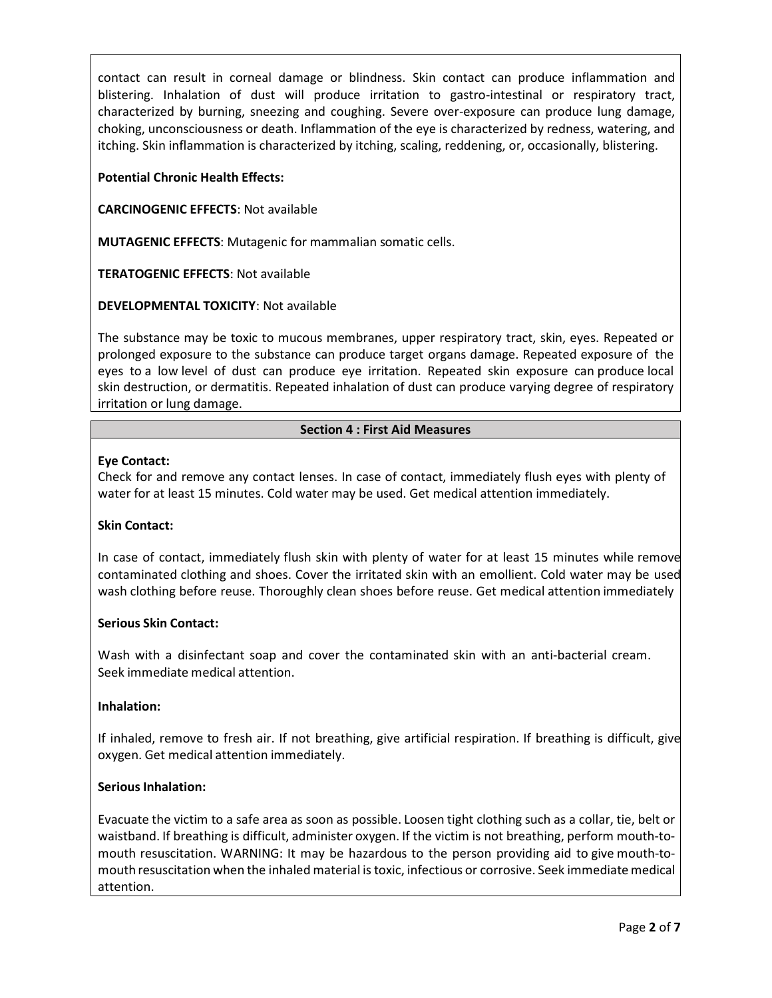contact can result in corneal damage or blindness. Skin contact can produce inflammation and blistering. Inhalation of dust will produce irritation to gastro-intestinal or respiratory tract, characterized by burning, sneezing and coughing. Severe over-exposure can produce lung damage, choking, unconsciousness or death. Inflammation of the eye is characterized by redness, watering, and itching. Skin inflammation is characterized by itching, scaling, reddening, or, occasionally, blistering.

# **Potential Chronic Health Effects:**

**CARCINOGENIC EFFECTS**: Not available

**MUTAGENIC EFFECTS**: Mutagenic for mammalian somatic cells.

**TERATOGENIC EFFECTS**: Not available

# **DEVELOPMENTAL TOXICITY**: Not available

The substance may be toxic to mucous membranes, upper respiratory tract, skin, eyes. Repeated or prolonged exposure to the substance can produce target organs damage. Repeated exposure of the eyes to a low level of dust can produce eye irritation. Repeated skin exposure can produce local skin destruction, or dermatitis. Repeated inhalation of dust can produce varying degree of respiratory irritation or lung damage.

# **Section 4 : First Aid Measures**

# **Eye Contact:**

Check for and remove any contact lenses. In case of contact, immediately flush eyes with plenty of water for at least 15 minutes. Cold water may be used. Get medical attention immediately.

# **Skin Contact:**

In case of contact, immediately flush skin with plenty of water for at least 15 minutes while remove contaminated clothing and shoes. Cover the irritated skin with an emollient. Cold water may be used wash clothing before reuse. Thoroughly clean shoes before reuse. Get medical attention immediately

# **Serious Skin Contact:**

Wash with a disinfectant soap and cover the contaminated skin with an anti-bacterial cream. Seek immediate medical attention.

# **Inhalation:**

If inhaled, remove to fresh air. If not breathing, give artificial respiration. If breathing is difficult, give oxygen. Get medical attention immediately.

# **Serious Inhalation:**

Evacuate the victim to a safe area as soon as possible. Loosen tight clothing such as a collar, tie, belt or waistband. If breathing is difficult, administer oxygen. If the victim is not breathing, perform mouth-tomouth resuscitation. WARNING: It may be hazardous to the person providing aid to give mouth-tomouth resuscitation when the inhaled material is toxic, infectious or corrosive. Seek immediate medical attention.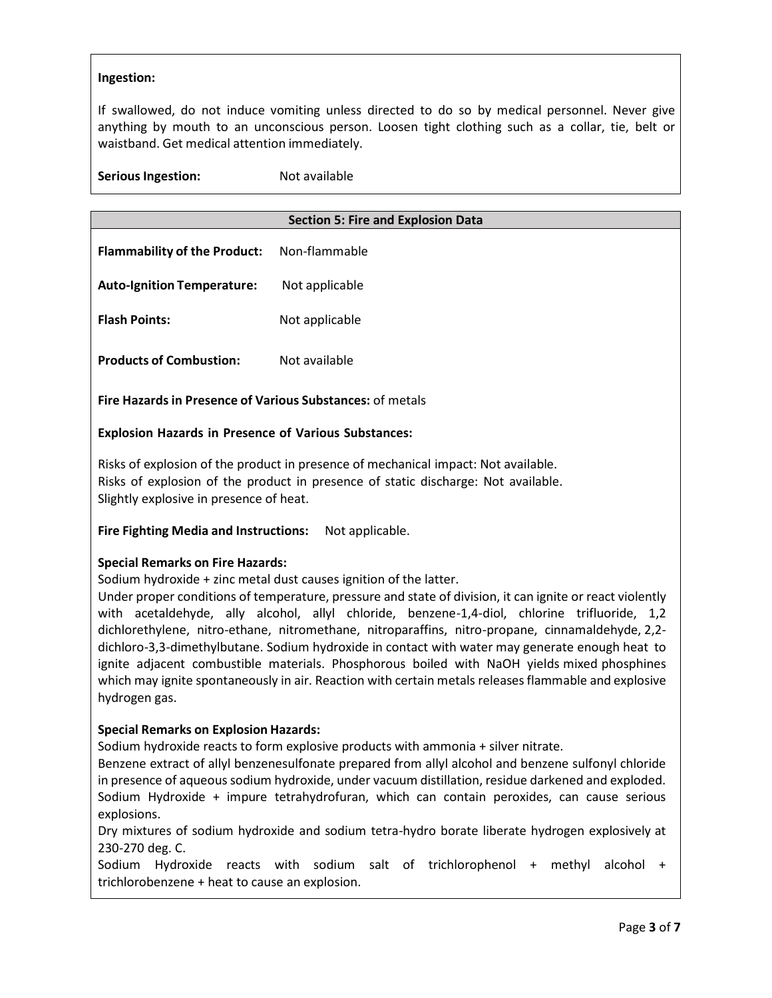# **Ingestion:**

If swallowed, do not induce vomiting unless directed to do so by medical personnel. Never give anything by mouth to an unconscious person. Loosen tight clothing such as a collar, tie, belt or waistband. Get medical attention immediately.

**Serious Ingestion:** Not available

# **Section 5: Fire and Explosion Data**

| <b>Flammability of the Product:</b> | Non-flammable  |
|-------------------------------------|----------------|
| <b>Auto-Ignition Temperature:</b>   | Not applicable |
| <b>Flash Points:</b>                | Not applicable |
| <b>Products of Combustion:</b>      | Not available  |

**Fire Hazardsin Presence of Various Substances:** of metals

# **Explosion Hazards in Presence of Various Substances:**

Risks of explosion of the product in presence of mechanical impact: Not available. Risks of explosion of the product in presence of static discharge: Not available. Slightly explosive in presence of heat.

# **Fire Fighting Media and Instructions:** Not applicable.

#### **Special Remarks on Fire Hazards:**

Sodium hydroxide + zinc metal dust causes ignition of the latter.

Under proper conditions of temperature, pressure and state of division, it can ignite or react violently with acetaldehyde, ally alcohol, allyl chloride, benzene-1,4-diol, chlorine trifluoride, 1,2 dichlorethylene, nitro-ethane, nitromethane, nitroparaffins, nitro-propane, cinnamaldehyde, 2,2 dichloro-3,3-dimethylbutane. Sodium hydroxide in contact with water may generate enough heat to ignite adjacent combustible materials. Phosphorous boiled with NaOH yields mixed phosphines which may ignite spontaneously in air. Reaction with certain metals releases flammable and explosive hydrogen gas.

# **Special Remarks on Explosion Hazards:**

Sodium hydroxide reacts to form explosive products with ammonia + silver nitrate.

Benzene extract of allyl benzenesulfonate prepared from allyl alcohol and benzene sulfonyl chloride in presence of aqueous sodium hydroxide, under vacuum distillation, residue darkened and exploded. Sodium Hydroxide + impure tetrahydrofuran, which can contain peroxides, can cause serious explosions.

Dry mixtures of sodium hydroxide and sodium tetra-hydro borate liberate hydrogen explosively at 230-270 deg. C.

Sodium Hydroxide reacts with sodium salt of trichlorophenol + methyl alcohol + trichlorobenzene + heat to cause an explosion.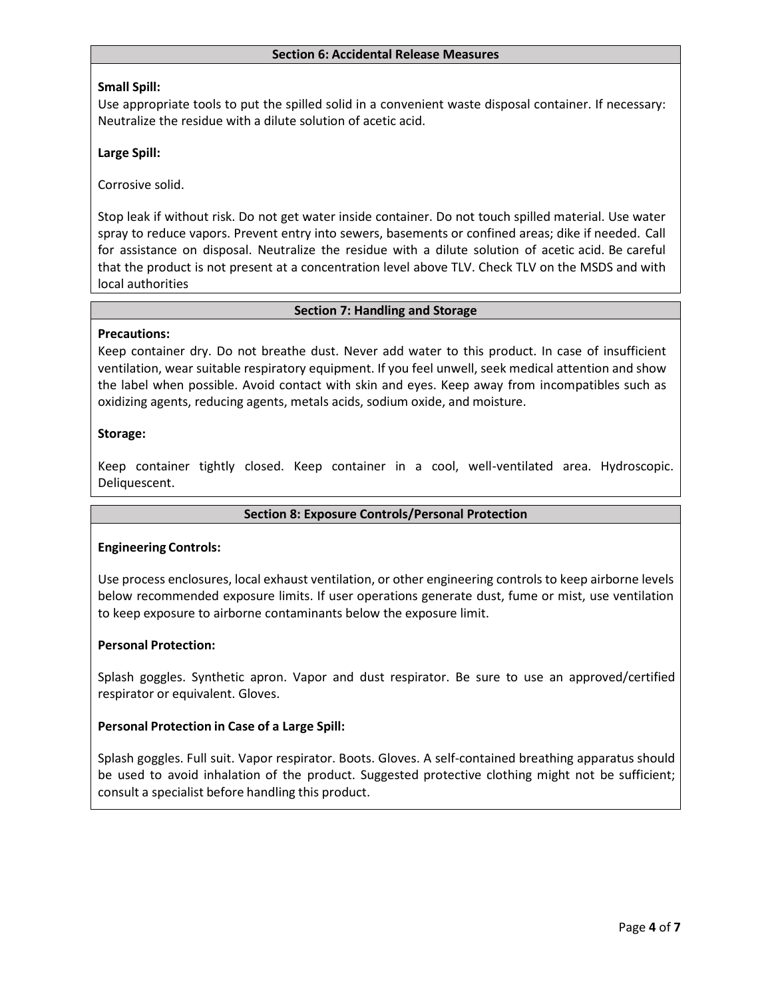#### **Section 6: Accidental Release Measures**

# **Small Spill:**

Use appropriate tools to put the spilled solid in a convenient waste disposal container. If necessary: Neutralize the residue with a dilute solution of acetic acid.

# **Large Spill:**

Corrosive solid.

Stop leak if without risk. Do not get water inside container. Do not touch spilled material. Use water spray to reduce vapors. Prevent entry into sewers, basements or confined areas; dike if needed. Call for assistance on disposal. Neutralize the residue with a dilute solution of acetic acid. Be careful that the product is not present at a concentration level above TLV. Check TLV on the MSDS and with local authorities

#### **Section 7: Handling and Storage**

#### **Precautions:**

Keep container dry. Do not breathe dust. Never add water to this product. In case of insufficient ventilation, wear suitable respiratory equipment. If you feel unwell, seek medical attention and show the label when possible. Avoid contact with skin and eyes. Keep away from incompatibles such as oxidizing agents, reducing agents, metals acids, sodium oxide, and moisture.

### **Storage:**

Keep container tightly closed. Keep container in a cool, well-ventilated area. Hydroscopic. Deliquescent.

#### **Section 8: Exposure Controls/Personal Protection**

#### **Engineering Controls:**

Use process enclosures, local exhaust ventilation, or other engineering controls to keep airborne levels below recommended exposure limits. If user operations generate dust, fume or mist, use ventilation to keep exposure to airborne contaminants below the exposure limit.

#### **Personal Protection:**

Splash goggles. Synthetic apron. Vapor and dust respirator. Be sure to use an approved/certified respirator or equivalent. Gloves.

# **Personal Protection in Case of a Large Spill:**

Splash goggles. Full suit. Vapor respirator. Boots. Gloves. A self-contained breathing apparatus should be used to avoid inhalation of the product. Suggested protective clothing might not be sufficient; consult a specialist before handling this product.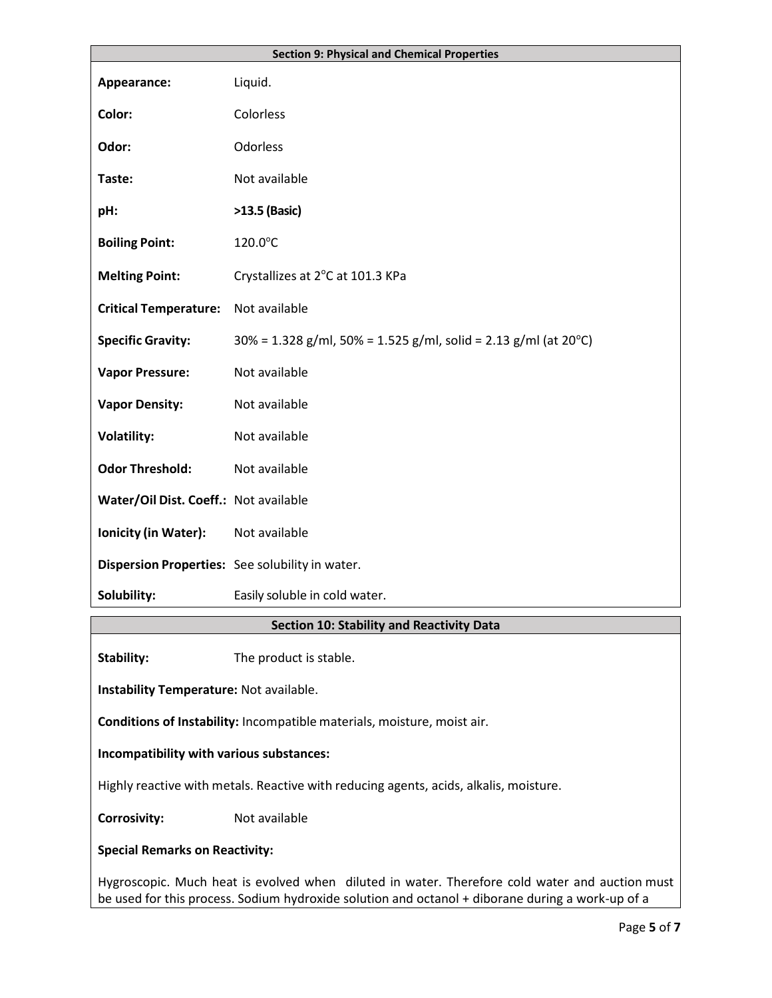|                                                                                                                                                                                                    | <b>Section 9: Physical and Chemical Properties</b>                 |  |  |
|----------------------------------------------------------------------------------------------------------------------------------------------------------------------------------------------------|--------------------------------------------------------------------|--|--|
| Appearance:                                                                                                                                                                                        | Liquid.                                                            |  |  |
| Color:                                                                                                                                                                                             | Colorless                                                          |  |  |
|                                                                                                                                                                                                    |                                                                    |  |  |
| Odor:                                                                                                                                                                                              | Odorless                                                           |  |  |
| Taste:                                                                                                                                                                                             | Not available                                                      |  |  |
| pH:                                                                                                                                                                                                | >13.5 (Basic)                                                      |  |  |
| <b>Boiling Point:</b>                                                                                                                                                                              | 120.0°C                                                            |  |  |
| <b>Melting Point:</b>                                                                                                                                                                              | Crystallizes at 2°C at 101.3 KPa                                   |  |  |
| <b>Critical Temperature:</b>                                                                                                                                                                       | Not available                                                      |  |  |
| <b>Specific Gravity:</b>                                                                                                                                                                           | $30\%$ = 1.328 g/ml, 50% = 1.525 g/ml, solid = 2.13 g/ml (at 20°C) |  |  |
| <b>Vapor Pressure:</b>                                                                                                                                                                             | Not available                                                      |  |  |
| <b>Vapor Density:</b>                                                                                                                                                                              | Not available                                                      |  |  |
| <b>Volatility:</b>                                                                                                                                                                                 | Not available                                                      |  |  |
| <b>Odor Threshold:</b>                                                                                                                                                                             | Not available                                                      |  |  |
| Water/Oil Dist. Coeff.: Not available                                                                                                                                                              |                                                                    |  |  |
| Ionicity (in Water):                                                                                                                                                                               | Not available                                                      |  |  |
|                                                                                                                                                                                                    | Dispersion Properties: See solubility in water.                    |  |  |
| Solubility:                                                                                                                                                                                        | Easily soluble in cold water.                                      |  |  |
|                                                                                                                                                                                                    | <b>Section 10: Stability and Reactivity Data</b>                   |  |  |
| <b>Stability:</b>                                                                                                                                                                                  | The product is stable.                                             |  |  |
| Instability Temperature: Not available.                                                                                                                                                            |                                                                    |  |  |
| Conditions of Instability: Incompatible materials, moisture, moist air.                                                                                                                            |                                                                    |  |  |
| Incompatibility with various substances:                                                                                                                                                           |                                                                    |  |  |
| Highly reactive with metals. Reactive with reducing agents, acids, alkalis, moisture.                                                                                                              |                                                                    |  |  |
| <b>Corrosivity:</b>                                                                                                                                                                                | Not available                                                      |  |  |
| <b>Special Remarks on Reactivity:</b>                                                                                                                                                              |                                                                    |  |  |
| Hygroscopic. Much heat is evolved when diluted in water. Therefore cold water and auction must<br>be used for this process. Sodium hydroxide solution and octanol + diborane during a work-up of a |                                                                    |  |  |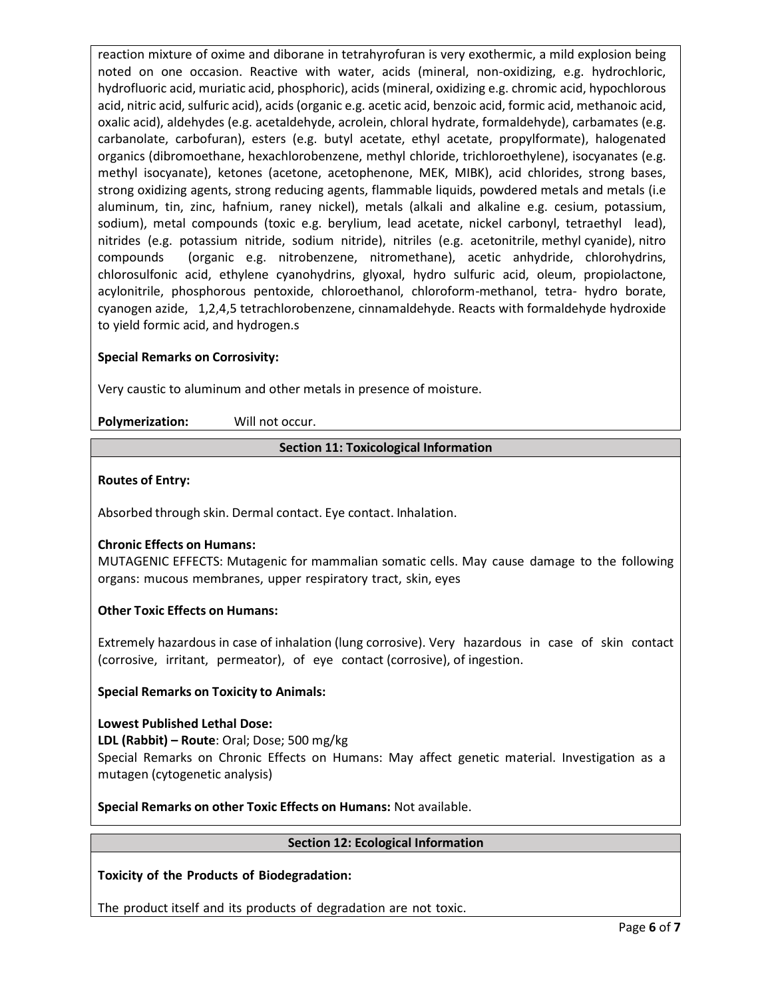reaction mixture of oxime and diborane in tetrahyrofuran is very exothermic, a mild explosion being noted on one occasion. Reactive with water, acids (mineral, non-oxidizing, e.g. hydrochloric, hydrofluoric acid, muriatic acid, phosphoric), acids (mineral, oxidizing e.g. chromic acid, hypochlorous acid, nitric acid, sulfuric acid), acids (organic e.g. acetic acid, benzoic acid, formic acid, methanoic acid, oxalic acid), aldehydes (e.g. acetaldehyde, acrolein, chloral hydrate, formaldehyde), carbamates (e.g. carbanolate, carbofuran), esters (e.g. butyl acetate, ethyl acetate, propylformate), halogenated organics (dibromoethane, hexachlorobenzene, methyl chloride, trichloroethylene), isocyanates (e.g. methyl isocyanate), ketones (acetone, acetophenone, MEK, MIBK), acid chlorides, strong bases, strong oxidizing agents, strong reducing agents, flammable liquids, powdered metals and metals (i.e aluminum, tin, zinc, hafnium, raney nickel), metals (alkali and alkaline e.g. cesium, potassium, sodium), metal compounds (toxic e.g. berylium, lead acetate, nickel carbonyl, tetraethyl lead), nitrides (e.g. potassium nitride, sodium nitride), nitriles (e.g. acetonitrile, methyl cyanide), nitro compounds (organic e.g. nitrobenzene, nitromethane), acetic anhydride, chlorohydrins, chlorosulfonic acid, ethylene cyanohydrins, glyoxal, hydro sulfuric acid, oleum, propiolactone, acylonitrile, phosphorous pentoxide, chloroethanol, chloroform-methanol, tetra- hydro borate, cyanogen azide, 1,2,4,5 tetrachlorobenzene, cinnamaldehyde. Reacts with formaldehyde hydroxide to yield formic acid, and hydrogen.s

# **Special Remarks on Corrosivity:**

Very caustic to aluminum and other metals in presence of moisture.

**Polymerization:** Will not occur.

### **Section 11: Toxicological Information**

# **Routes of Entry:**

Absorbed through skin. Dermal contact. Eye contact. Inhalation.

# **Chronic Effects on Humans:**

MUTAGENIC EFFECTS: Mutagenic for mammalian somatic cells. May cause damage to the following organs: mucous membranes, upper respiratory tract, skin, eyes

# **Other Toxic Effects on Humans:**

Extremely hazardous in case of inhalation (lung corrosive). Very hazardous in case of skin contact (corrosive, irritant, permeator), of eye contact (corrosive), of ingestion.

# **Special Remarks on Toxicity to Animals:**

**Lowest Published Lethal Dose: LDL (Rabbit) – Route**: Oral; Dose; 500 mg/kg Special Remarks on Chronic Effects on Humans: May affect genetic material. Investigation as a mutagen (cytogenetic analysis)

**Special Remarks on other Toxic Effects on Humans:** Not available.

# **Section 12: Ecological Information**

# **Toxicity of the Products of Biodegradation:**

The product itself and its products of degradation are not toxic.